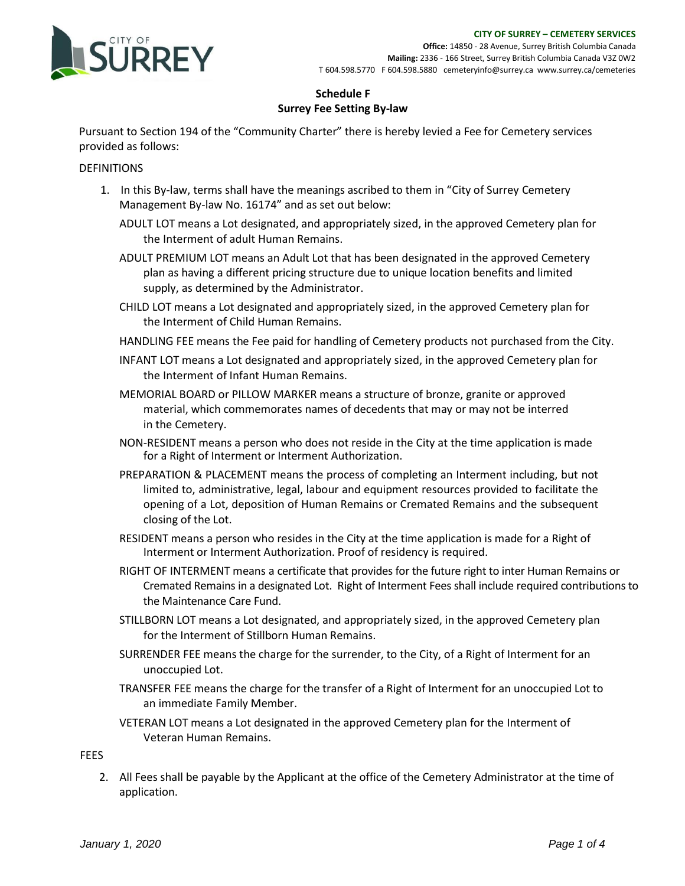

**Office:** 14850 - 28 Avenue, Surrey British Columbia Canada **Mailing:** 2336 - 166 Street, Surrey British Columbia Canada V3Z 0W2 T 604.598.5770 F 604.598.5880 cemeteryinfo@surrey.ca [www.surrey.ca/cemeteries](http://www.surrey.ca/cemeteries)

### **Schedule F Surrey Fee Setting By-law**

Pursuant to Section 194 of the "Community Charter" there is hereby levied a Fee for Cemetery services provided as follows:

#### DEFINITIONS

- 1. In this By-law, terms shall have the meanings ascribed to them in "City of Surrey Cemetery Management By-law No. 16174" and as set out below:
	- ADULT LOT means a Lot designated, and appropriately sized, in the approved Cemetery plan for the Interment of adult Human Remains.
	- ADULT PREMIUM LOT means an Adult Lot that has been designated in the approved Cemetery plan as having a different pricing structure due to unique location benefits and limited supply, as determined by the Administrator.
	- CHILD LOT means a Lot designated and appropriately sized, in the approved Cemetery plan for the Interment of Child Human Remains.
	- HANDLING FEE means the Fee paid for handling of Cemetery products not purchased from the City.
	- INFANT LOT means a Lot designated and appropriately sized, in the approved Cemetery plan for the Interment of Infant Human Remains.
	- MEMORIAL BOARD or PILLOW MARKER means a structure of bronze, granite or approved material, which commemorates names of decedents that may or may not be interred in the Cemetery.
	- NON-RESIDENT means a person who does not reside in the City at the time application is made for a Right of Interment or Interment Authorization.
	- PREPARATION & PLACEMENT means the process of completing an Interment including, but not limited to, administrative, legal, labour and equipment resources provided to facilitate the opening of a Lot, deposition of Human Remains or Cremated Remains and the subsequent closing of the Lot.
	- RESIDENT means a person who resides in the City at the time application is made for a Right of Interment or Interment Authorization. Proof of residency is required.
	- RIGHT OF INTERMENT means a certificate that provides for the future right to inter Human Remains or Cremated Remains in a designated Lot. Right of Interment Fees shall include required contributions to the Maintenance Care Fund.
	- STILLBORN LOT means a Lot designated, and appropriately sized, in the approved Cemetery plan for the Interment of Stillborn Human Remains.
	- SURRENDER FEE means the charge for the surrender, to the City, of a Right of Interment for an unoccupied Lot.
	- TRANSFER FEE means the charge for the transfer of a Right of Interment for an unoccupied Lot to an immediate Family Member.
	- VETERAN LOT means a Lot designated in the approved Cemetery plan for the Interment of Veteran Human Remains.

**FEES** 

2. All Fees shall be payable by the Applicant at the office of the Cemetery Administrator at the time of application.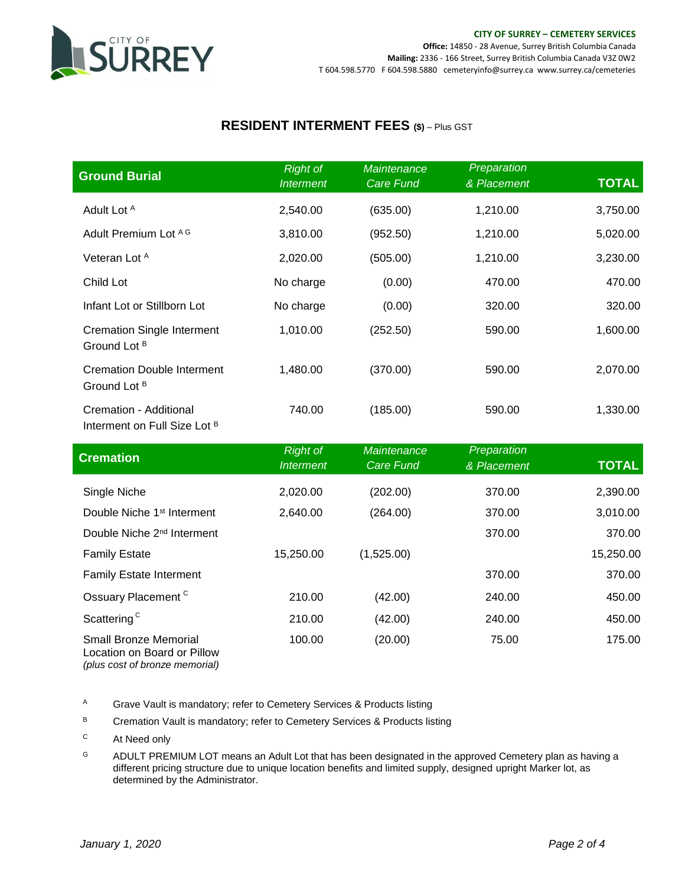

### **RESIDENT INTERMENT FEES (\$)** – Plus GST

| <b>Ground Burial</b>                                              | <b>Right of</b><br><b>Interment</b> | <b>Maintenance</b><br><b>Care Fund</b> | Preparation<br>& Placement | <b>TOTAL</b> |
|-------------------------------------------------------------------|-------------------------------------|----------------------------------------|----------------------------|--------------|
| Adult Lot A                                                       | 2,540.00                            | (635.00)                               | 1,210.00                   | 3,750.00     |
| Adult Premium Lot AG                                              | 3,810.00                            | (952.50)                               | 1,210.00                   | 5,020.00     |
| Veteran Lot A                                                     | 2,020.00                            | (505.00)                               | 1,210.00                   | 3,230.00     |
| Child Lot                                                         | No charge                           | (0.00)                                 | 470.00                     | 470.00       |
| Infant Lot or Stillborn Lot                                       | No charge                           | (0.00)                                 | 320.00                     | 320.00       |
| <b>Cremation Single Interment</b><br>Ground Lot <sup>B</sup>      | 1,010.00                            | (252.50)                               | 590.00                     | 1,600.00     |
| <b>Cremation Double Interment</b><br>Ground Lot <sup>B</sup>      | 1,480.00                            | (370.00)                               | 590.00                     | 2,070.00     |
| Cremation - Additional<br>Interment on Full Size Lot <sup>B</sup> | 740.00                              | (185.00)                               | 590.00                     | 1,330.00     |

| <b>Cremation</b>                                                                              | <b>Right of</b><br><b>Interment</b> | <b>Maintenance</b><br><b>Care Fund</b> | Preparation<br>& Placement | <b>TOTAL</b> |
|-----------------------------------------------------------------------------------------------|-------------------------------------|----------------------------------------|----------------------------|--------------|
| Single Niche                                                                                  | 2,020.00                            | (202.00)                               | 370.00                     | 2,390.00     |
| Double Niche 1 <sup>st</sup> Interment                                                        | 2,640.00                            | (264.00)                               | 370.00                     | 3,010.00     |
| Double Niche 2 <sup>nd</sup> Interment                                                        |                                     |                                        | 370.00                     | 370.00       |
| <b>Family Estate</b>                                                                          | 15,250.00                           | (1,525.00)                             |                            | 15,250.00    |
| <b>Family Estate Interment</b>                                                                |                                     |                                        | 370.00                     | 370.00       |
| Ossuary Placement <sup>C</sup>                                                                | 210.00                              | (42.00)                                | 240.00                     | 450.00       |
| Scattering <sup>C</sup>                                                                       | 210.00                              | (42.00)                                | 240.00                     | 450.00       |
| <b>Small Bronze Memorial</b><br>Location on Board or Pillow<br>(plus cost of bronze memorial) | 100.00                              | (20.00)                                | 75.00                      | 175.00       |

A Grave Vault is mandatory; refer to Cemetery Services & Products listing

B Cremation Vault is mandatory; refer to Cemetery Services & Products listing

<sup>C</sup> At Need only

<sup>G</sup> ADULT PREMIUM LOT means an Adult Lot that has been designated in the approved Cemetery plan as having a different pricing structure due to unique location benefits and limited supply, designed upright Marker lot, as determined by the Administrator.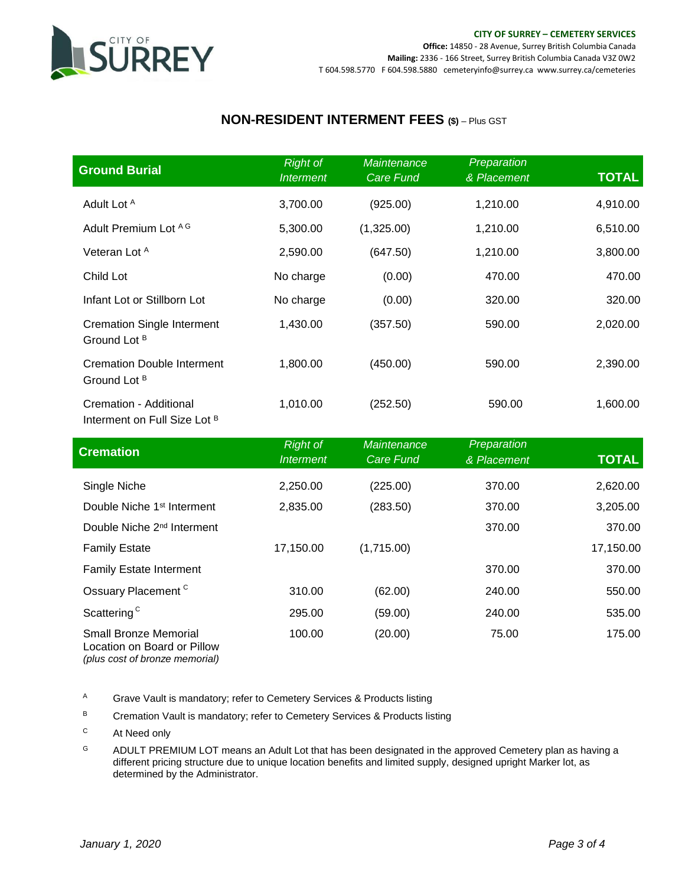

# **NON-RESIDENT INTERMENT FEES (\$)** – Plus GST

| <b>Ground Burial</b>                                              | <b>Right of</b><br><b>Interment</b> | <b>Maintenance</b><br>Care Fund | Preparation<br>& Placement | <b>TOTAL</b> |
|-------------------------------------------------------------------|-------------------------------------|---------------------------------|----------------------------|--------------|
| Adult Lot A                                                       | 3,700.00                            | (925.00)                        | 1,210.00                   | 4,910.00     |
| Adult Premium Lot AG                                              | 5,300.00                            | (1,325.00)                      | 1,210.00                   | 6,510.00     |
| Veteran Lot A                                                     | 2,590.00                            | (647.50)                        | 1,210.00                   | 3,800.00     |
| Child Lot                                                         | No charge                           | (0.00)                          | 470.00                     | 470.00       |
| Infant Lot or Stillborn Lot                                       | No charge                           | (0.00)                          | 320.00                     | 320.00       |
| <b>Cremation Single Interment</b><br>Ground Lot <sup>B</sup>      | 1,430.00                            | (357.50)                        | 590.00                     | 2,020.00     |
| <b>Cremation Double Interment</b><br>Ground Lot <sup>B</sup>      | 1,800.00                            | (450.00)                        | 590.00                     | 2,390.00     |
| Cremation - Additional<br>Interment on Full Size Lot <sup>B</sup> | 1,010.00                            | (252.50)                        | 590.00                     | 1,600.00     |

| <b>Cremation</b>                                                                              | <b>Right of</b><br><b>Interment</b> | <b>Maintenance</b><br>Care Fund | Preparation<br>& Placement | <b>TOTAL</b> |
|-----------------------------------------------------------------------------------------------|-------------------------------------|---------------------------------|----------------------------|--------------|
| Single Niche                                                                                  | 2,250.00                            | (225.00)                        | 370.00                     | 2,620.00     |
| Double Niche 1 <sup>st</sup> Interment                                                        | 2,835.00                            | (283.50)                        | 370.00                     | 3,205.00     |
| Double Niche 2 <sup>nd</sup> Interment                                                        |                                     |                                 | 370.00                     | 370.00       |
| <b>Family Estate</b>                                                                          | 17,150.00                           | (1,715.00)                      |                            | 17,150.00    |
| <b>Family Estate Interment</b>                                                                |                                     |                                 | 370.00                     | 370.00       |
| Ossuary Placement <sup>C</sup>                                                                | 310.00                              | (62.00)                         | 240.00                     | 550.00       |
| Scattering <sup>C</sup>                                                                       | 295.00                              | (59.00)                         | 240.00                     | 535.00       |
| <b>Small Bronze Memorial</b><br>Location on Board or Pillow<br>(plus cost of bronze memorial) | 100.00                              | (20.00)                         | 75.00                      | 175.00       |

A Grave Vault is mandatory; refer to Cemetery Services & Products listing

- B Cremation Vault is mandatory; refer to Cemetery Services & Products listing
- <sup>C</sup> At Need only
- <sup>G</sup> ADULT PREMIUM LOT means an Adult Lot that has been designated in the approved Cemetery plan as having a different pricing structure due to unique location benefits and limited supply, designed upright Marker lot, as determined by the Administrator.